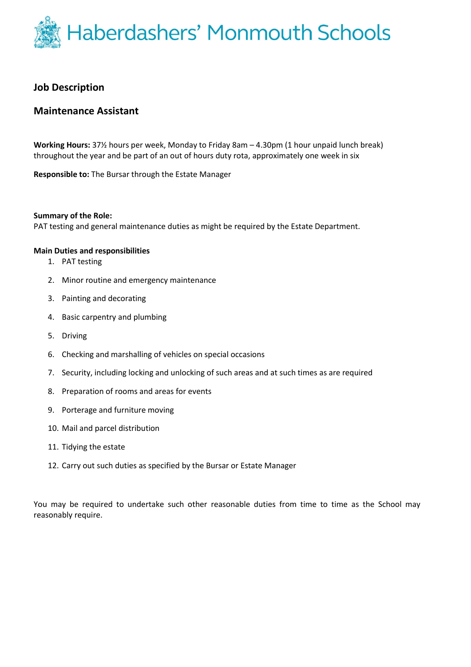

## **Job Description**

## **Maintenance Assistant**

**Working Hours:** 37½ hours per week, Monday to Friday 8am – 4.30pm (1 hour unpaid lunch break) throughout the year and be part of an out of hours duty rota, approximately one week in six

**Responsible to:** The Bursar through the Estate Manager

#### **Summary of the Role:**

PAT testing and general maintenance duties as might be required by the Estate Department.

### **Main Duties and responsibilities**

- 1. PAT testing
- 2. Minor routine and emergency maintenance
- 3. Painting and decorating
- 4. Basic carpentry and plumbing
- 5. Driving
- 6. Checking and marshalling of vehicles on special occasions
- 7. Security, including locking and unlocking of such areas and at such times as are required
- 8. Preparation of rooms and areas for events
- 9. Porterage and furniture moving
- 10. Mail and parcel distribution
- 11. Tidying the estate
- 12. Carry out such duties as specified by the Bursar or Estate Manager

You may be required to undertake such other reasonable duties from time to time as the School may reasonably require.